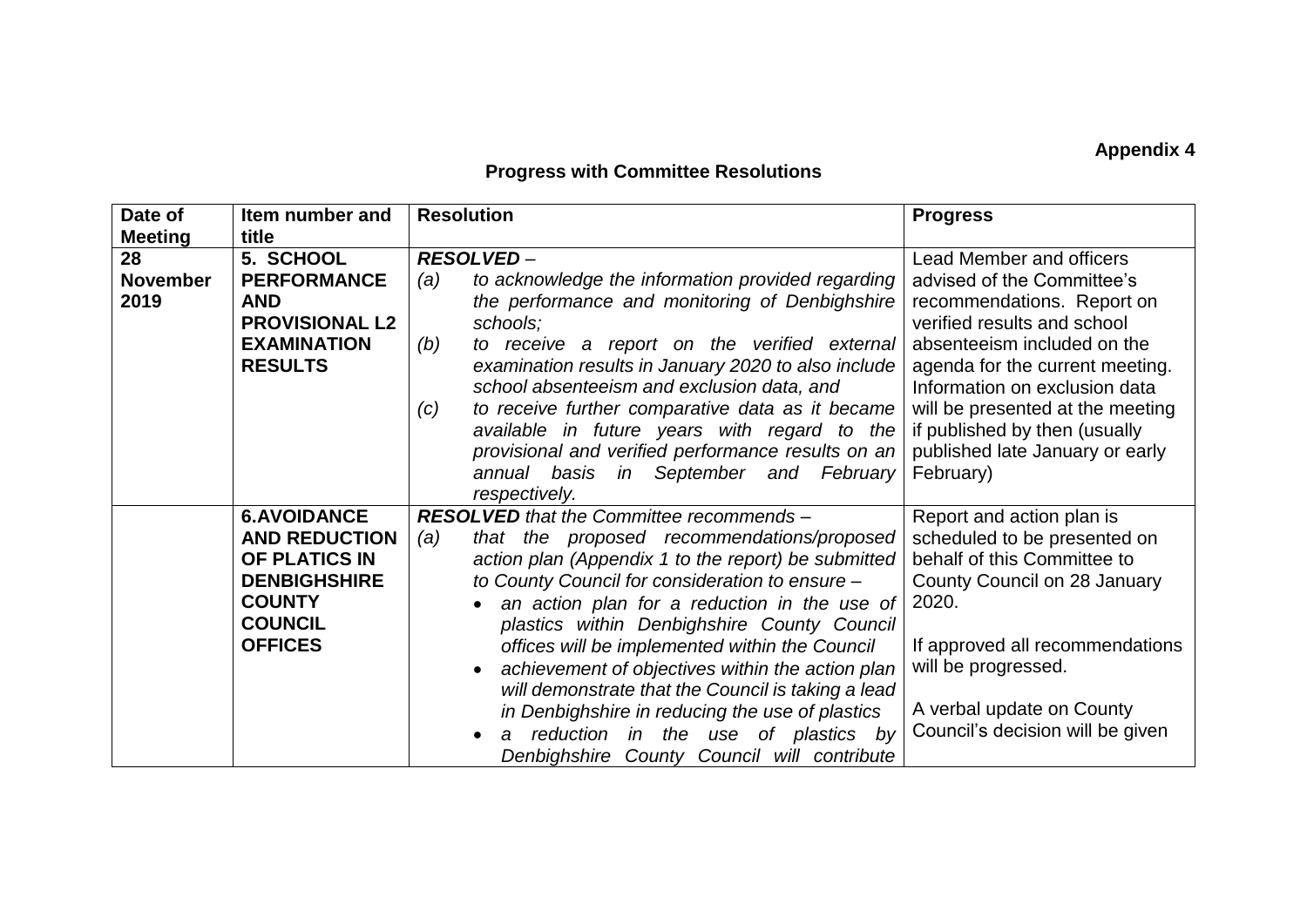## **Appendix 4**

## **Progress with Committee Resolutions**

| Date of<br><b>Meeting</b>     | Item number and<br>title                                                                                                                | <b>Resolution</b>                                                                                                                                                                                                                                                                                                                                                                                                                                                                                                                                                                                                       | <b>Progress</b>                                                                                                                                                                                                                                                                                                                                    |
|-------------------------------|-----------------------------------------------------------------------------------------------------------------------------------------|-------------------------------------------------------------------------------------------------------------------------------------------------------------------------------------------------------------------------------------------------------------------------------------------------------------------------------------------------------------------------------------------------------------------------------------------------------------------------------------------------------------------------------------------------------------------------------------------------------------------------|----------------------------------------------------------------------------------------------------------------------------------------------------------------------------------------------------------------------------------------------------------------------------------------------------------------------------------------------------|
| 28<br><b>November</b><br>2019 | 5. SCHOOL<br><b>PERFORMANCE</b><br><b>AND</b><br><b>PROVISIONAL L2</b><br><b>EXAMINATION</b><br><b>RESULTS</b>                          | <b>RESOLVED-</b><br>to acknowledge the information provided regarding<br>(a)<br>the performance and monitoring of Denbighshire<br>schools;<br>to receive a report on the verified external<br>(b)<br>examination results in January 2020 to also include<br>school absenteeism and exclusion data, and<br>to receive further comparative data as it became<br>(c)<br>available in future years with regard to the<br>provisional and verified performance results on an<br>in September and February<br>annual basis<br>respectively.                                                                                   | <b>Lead Member and officers</b><br>advised of the Committee's<br>recommendations. Report on<br>verified results and school<br>absenteeism included on the<br>agenda for the current meeting.<br>Information on exclusion data<br>will be presented at the meeting<br>if published by then (usually<br>published late January or early<br>February) |
|                               | <b>6.AVOIDANCE</b><br><b>AND REDUCTION</b><br>OF PLATICS IN<br><b>DENBIGHSHIRE</b><br><b>COUNTY</b><br><b>COUNCIL</b><br><b>OFFICES</b> | <b>RESOLVED</b> that the Committee recommends -<br>that the proposed recommendations/proposed<br>(a)<br>action plan (Appendix 1 to the report) be submitted<br>to County Council for consideration to ensure -<br>an action plan for a reduction in the use of<br>plastics within Denbighshire County Council<br>offices will be implemented within the Council<br>achievement of objectives within the action plan<br>will demonstrate that the Council is taking a lead<br>in Denbighshire in reducing the use of plastics<br>reduction in the use of plastics by<br>a<br>Denbighshire County Council will contribute | Report and action plan is<br>scheduled to be presented on<br>behalf of this Committee to<br>County Council on 28 January<br>2020.<br>If approved all recommendations<br>will be progressed.<br>A verbal update on County<br>Council's decision will be given                                                                                       |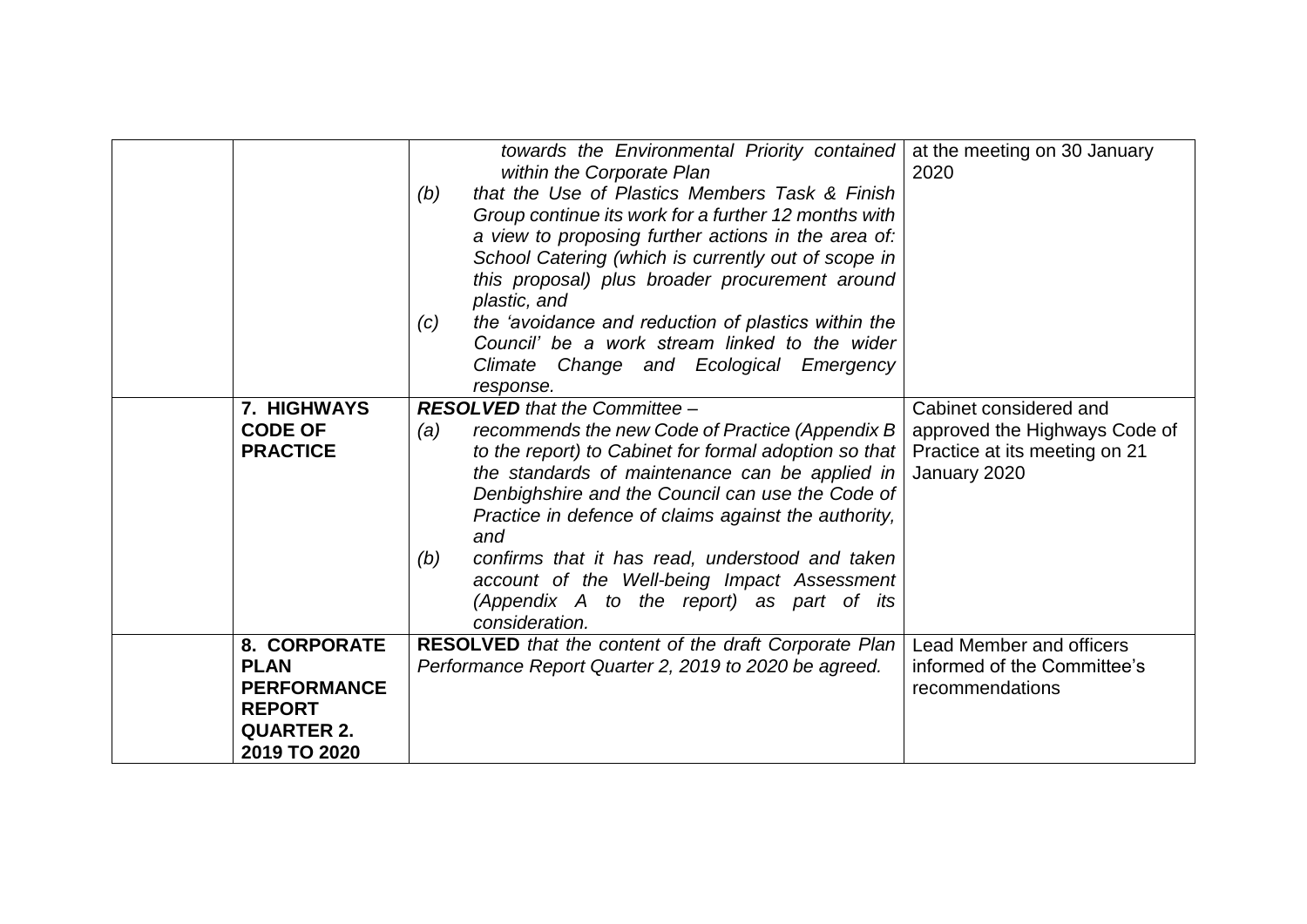|                                                                                                         | (b)<br>(c) | towards the Environmental Priority contained<br>within the Corporate Plan<br>that the Use of Plastics Members Task & Finish<br>Group continue its work for a further 12 months with<br>a view to proposing further actions in the area of:<br>School Catering (which is currently out of scope in<br>this proposal) plus broader procurement around<br>plastic, and<br>the 'avoidance and reduction of plastics within the<br>Council' be a work stream linked to the wider<br>Climate Change and Ecological Emergency<br>response. | at the meeting on 30 January<br>2020                                                                     |
|---------------------------------------------------------------------------------------------------------|------------|-------------------------------------------------------------------------------------------------------------------------------------------------------------------------------------------------------------------------------------------------------------------------------------------------------------------------------------------------------------------------------------------------------------------------------------------------------------------------------------------------------------------------------------|----------------------------------------------------------------------------------------------------------|
| <b>7. HIGHWAYS</b><br><b>CODE OF</b><br><b>PRACTICE</b>                                                 | (a)<br>(b) | <b>RESOLVED</b> that the Committee -<br>recommends the new Code of Practice (Appendix B)<br>to the report) to Cabinet for formal adoption so that<br>the standards of maintenance can be applied in<br>Denbighshire and the Council can use the Code of<br>Practice in defence of claims against the authority,<br>and<br>confirms that it has read, understood and taken<br>account of the Well-being Impact Assessment<br>(Appendix A to the report) as part of its<br>consideration.                                             | Cabinet considered and<br>approved the Highways Code of<br>Practice at its meeting on 21<br>January 2020 |
| 8. CORPORATE<br><b>PLAN</b><br><b>PERFORMANCE</b><br><b>REPORT</b><br><b>QUARTER 2.</b><br>2019 TO 2020 |            | <b>RESOLVED</b> that the content of the draft Corporate Plan<br>Performance Report Quarter 2, 2019 to 2020 be agreed.                                                                                                                                                                                                                                                                                                                                                                                                               | Lead Member and officers<br>informed of the Committee's<br>recommendations                               |